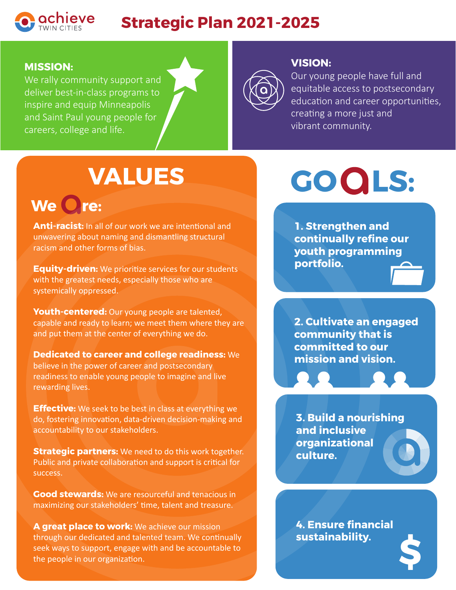

### **MISSION:**

We rally community support and deliver best-in-class programs to inspire and equip Minneapolis and Saint Paul young people for careers, college and life.



#### **VISION:**

Our young people have full and equitable access to postsecondary education and career opportunities, creating a more just and vibrant community.

## **VALUES**

### We Ore:

**Anti-racist:** In all of our work we are intentional and unwavering about naming and dismantling structural racism and other forms of bias.

**Equity-driven:** We prioritize services for our students with the greatest needs, especially those who are systemically oppressed.

**Youth-centered:** Our young people are talented, capable and ready to learn; we meet them where they are and put them at the center of everything we do.

**Dedicated to career and college readiness:** We believe in the power of career and postsecondary readiness to enable young people to imagine and live rewarding lives.

**Effective:** We seek to be best in class at everything we do, fostering innovation, data-driven decision-making and accountability to our stakeholders.

**Strategic partners:** We need to do this work together. Public and private collaboration and support is critical for success.

**Good stewards:** We are resourceful and tenacious in maximizing our stakeholders' time, talent and treasure.

**A great place to work:** We achieve our mission through our dedicated and talented team. We continually seek ways to support, engage with and be accountable to the people in our organization.

# **GO LS:**

**1. Strengthen and continually refine our youth programming portfolio.**

**2. Cultivate an engaged community that is committed to our mission and vision.**

**3. Build a nourishing and inclusive organizational culture.**

**4. Ensure financial sustainability. \$**